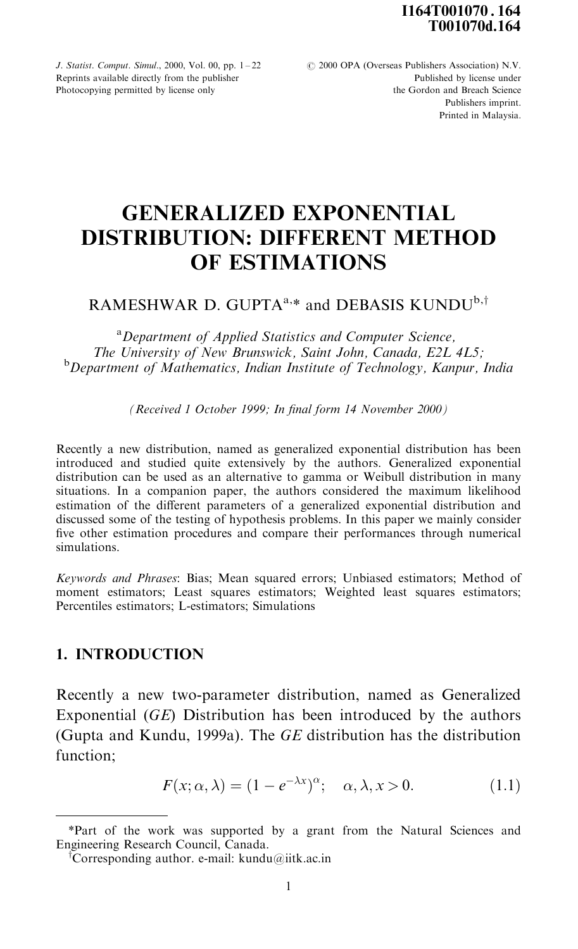I164T001070 . 164 T001070d.164

J. Statist. Comput. Simul., 2000, Vol. 00, pp.  $1-22$   $\qquad \qquad \textcircled{2000 OPA}$  (Overseas Publishers Association) N.V. Photocopying permitted by license only

Reprints available directly from the publisher **Published by license under** Photocopying permitted by license only **Published by license under**  $\frac{1}{2}$ Publishers imprint. Printed in Malaysia.

# GENERALIZED EXPONENTIAL DISTRIBUTION: DIFFERENT METHOD OF ESTIMATIONS

# RAMESHWAR D. GUPTA<sup>a,\*</sup> and DEBASIS KUNDU<sup>b,†</sup>

<sup>a</sup>Department of Applied Statistics and Computer Science, The University of New Brunswick, Saint John, Canada, E2L 4L5;<br><sup>b</sup>Department of Mathematics, Indian Institute of Technology, Kanpur, India

(Received 1 October 1999; In final form 14 November 2000)

Recently a new distribution, named as generalized exponential distribution has been introduced and studied quite extensively by the authors. Generalized exponential distribution can be used as an alternative to gamma or Weibull distribution in many situations. In a companion paper, the authors considered the maximum likelihood estimation of the different parameters of a generalized exponential distribution and discussed some of the testing of hypothesis problems. In this paper we mainly consider five other estimation procedures and compare their performances through numerical simulations.

Keywords and Phrases: Bias; Mean squared errors; Unbiased estimators; Method of moment estimators; Least squares estimators; Weighted least squares estimators; Percentiles estimators; L-estimators; Simulations

## 1. INTRODUCTION

Recently a new two-parameter distribution, named as Generalized Exponential (GE) Distribution has been introduced by the authors (Gupta and Kundu, 1999a). The GE distribution has the distribution function;

$$
F(x; \alpha, \lambda) = (1 - e^{-\lambda x})^{\alpha}; \quad \alpha, \lambda, x > 0.
$$
 (1.1)

<sup>\*</sup>Part of the work was supported by a grant from the Natural Sciences and Engineering Research Council, Canada.

<sup>&</sup>lt;sup>†</sup>Corresponding author. e-mail: kundu@iitk.ac.in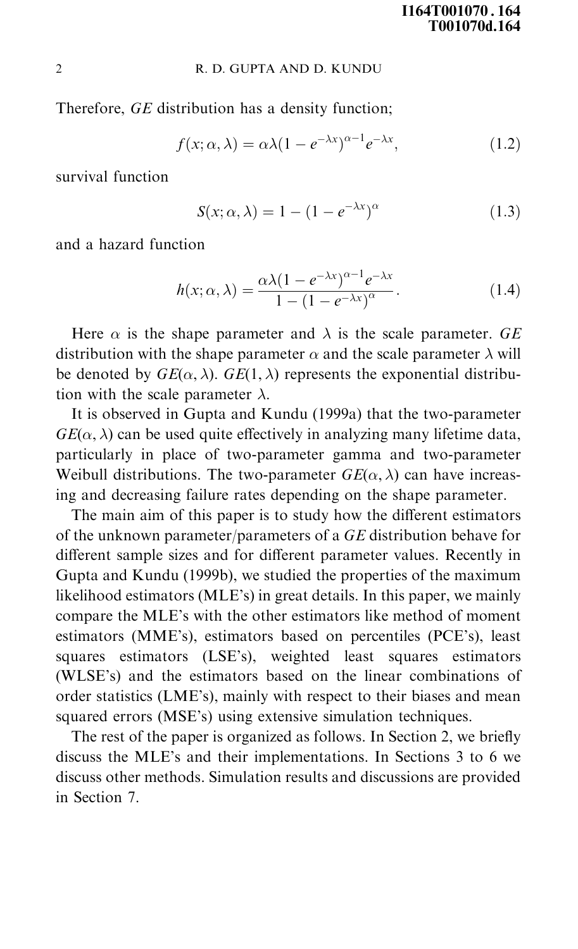Therefore, GE distribution has a density function;

$$
f(x; \alpha, \lambda) = \alpha \lambda (1 - e^{-\lambda x})^{\alpha - 1} e^{-\lambda x}, \qquad (1.2)
$$

survival function

$$
S(x; \alpha, \lambda) = 1 - (1 - e^{-\lambda x})^{\alpha} \tag{1.3}
$$

and a hazard function

$$
h(x; \alpha, \lambda) = \frac{\alpha \lambda (1 - e^{-\lambda x})^{\alpha - 1} e^{-\lambda x}}{1 - (1 - e^{-\lambda x})^{\alpha}}.
$$
 (1.4)

Here  $\alpha$  is the shape parameter and  $\lambda$  is the scale parameter. GE distribution with the shape parameter  $\alpha$  and the scale parameter  $\lambda$  will be denoted by  $GE(\alpha, \lambda)$ .  $GE(1, \lambda)$  represents the exponential distribution with the scale parameter  $\lambda$ .

It is observed in Gupta and Kundu (1999a) that the two-parameter  $GE(\alpha, \lambda)$  can be used quite effectively in analyzing many lifetime data, particularly in place of two-parameter gamma and two-parameter Weibull distributions. The two-parameter  $GE(\alpha, \lambda)$  can have increasing and decreasing failure rates depending on the shape parameter.

The main aim of this paper is to study how the different estimators of the unknown parameter/parameters of a GE distribution behave for different sample sizes and for different parameter values. Recently in Gupta and Kundu (1999b), we studied the properties of the maximum likelihood estimators (MLE's) in great details. In this paper, we mainly compare the MLE's with the other estimators like method of moment estimators (MME's), estimators based on percentiles (PCE's), least squares estimators (LSE's), weighted least squares estimators (WLSE's) and the estimators based on the linear combinations of order statistics (LME's), mainly with respect to their biases and mean squared errors (MSE's) using extensive simulation techniques.

The rest of the paper is organized as follows. In Section 2, we briefly discuss the MLE's and their implementations. In Sections 3 to 6 we discuss other methods. Simulation results and discussions are provided in Section 7.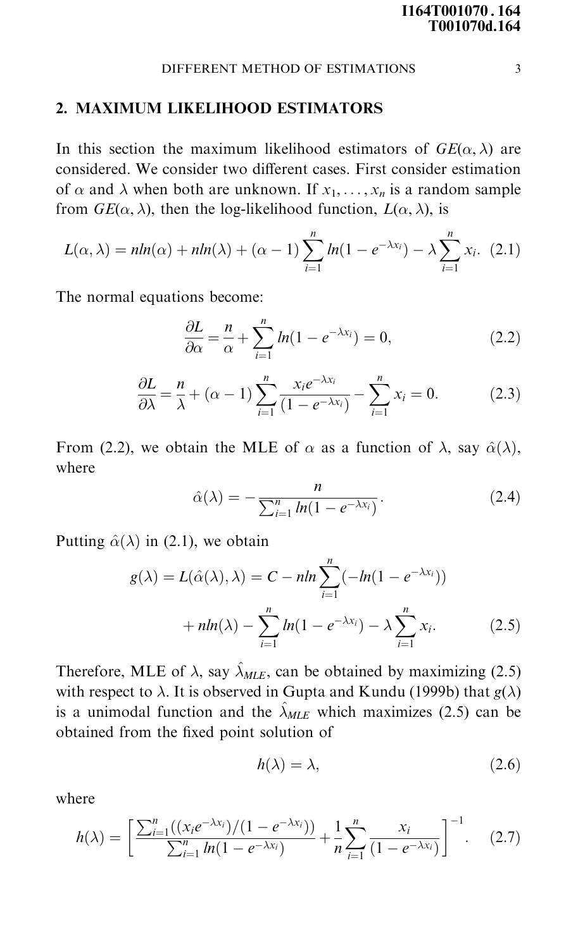#### 2. MAXIMUM LIKELIHOOD ESTIMATORS

In this section the maximum likelihood estimators of  $GE(\alpha, \lambda)$  are considered. We consider two different cases. First consider estimation of  $\alpha$  and  $\lambda$  when both are unknown. If  $x_1, \ldots, x_n$  is a random sample from  $GE(\alpha, \lambda)$ , then the log-likelihood function,  $L(\alpha, \lambda)$ , is

$$
L(\alpha,\lambda) = n\ln(\alpha) + n\ln(\lambda) + (\alpha - 1)\sum_{i=1}^{n} \ln(1 - e^{-\lambda x_i}) - \lambda \sum_{i=1}^{n} x_i.
$$
 (2.1)

The normal equations become:

$$
\frac{\partial L}{\partial \alpha} = \frac{n}{\alpha} + \sum_{i=1}^{n} ln(1 - e^{-\lambda x_i}) = 0,
$$
\n(2.2)

$$
\frac{\partial L}{\partial \lambda} = \frac{n}{\lambda} + (\alpha - 1) \sum_{i=1}^{n} \frac{x_i e^{-\lambda x_i}}{(1 - e^{-\lambda x_i})} - \sum_{i=1}^{n} x_i = 0.
$$
 (2.3)

From (2.2), we obtain the MLE of  $\alpha$  as a function of  $\lambda$ , say  $\hat{\alpha}(\lambda)$ , where

$$
\hat{\alpha}(\lambda) = -\frac{n}{\sum_{i=1}^{n} ln(1 - e^{-\lambda x_i})}.
$$
\n(2.4)

Putting  $\hat{\alpha}(\lambda)$  in (2.1), we obtain

$$
g(\lambda) = L(\hat{\alpha}(\lambda), \lambda) = C - nh \sum_{i=1}^{n} (-ln(1 - e^{-\lambda x_i}))
$$

$$
+ nh(\lambda) - \sum_{i=1}^{n} ln(1 - e^{-\lambda x_i}) - \lambda \sum_{i=1}^{n} x_i.
$$
 (2.5)

Therefore, MLE of  $\lambda$ , say  $\hat{\lambda}_{MLE}$ , can be obtained by maximizing (2.5) with respect to  $\lambda$ . It is observed in Gupta and Kundu (1999b) that  $g(\lambda)$ is a unimodal function and the  $\hat{\lambda}_{MLE}$  which maximizes (2.5) can be obtained from the fixed point solution of

$$
h(\lambda) = \lambda,\tag{2.6}
$$

where

$$
h(\lambda) = \left[ \frac{\sum_{i=1}^{n} ((x_i e^{-\lambda x_i})/(1 - e^{-\lambda x_i}))}{\sum_{i=1}^{n} ln(1 - e^{-\lambda x_i})} + \frac{1}{n} \sum_{i=1}^{n} \frac{x_i}{(1 - e^{-\lambda x_i})} \right]^{-1}.
$$
 (2.7)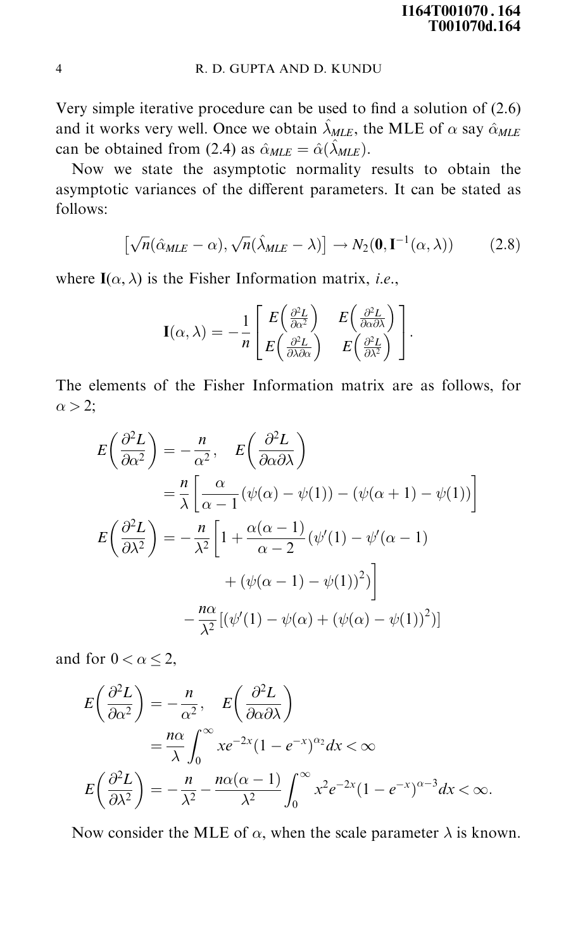Very simple iterative procedure can be used to find a solution of  $(2.6)$ and it works very well. Once we obtain  $\hat{\lambda}_{MLE}$ , the MLE of  $\alpha$  say  $\hat{\alpha}_{MLE}$ can be obtained from (2.4) as  $\hat{\alpha}_{MLE} = \hat{\alpha}(\hat{\lambda}_{MLE}).$ 

Now we state the asymptotic normality results to obtain the asymptotic variances of the different parameters. It can be stated as follows:

$$
\left[\sqrt{n}(\hat{\alpha}_{MLE}-\alpha),\sqrt{n}(\hat{\lambda}_{MLE}-\lambda)\right]\to N_2(\mathbf{0},\mathbf{I}^{-1}(\alpha,\lambda))\tag{2.8}
$$

where  $I(\alpha, \lambda)$  is the Fisher Information matrix, *i.e.*,

$$
\mathbf{I}(\alpha,\lambda) = -\frac{1}{n} \begin{bmatrix} E\left(\frac{\partial^2 L}{\partial \alpha^2}\right) & E\left(\frac{\partial^2 L}{\partial \alpha \partial \lambda}\right) \\ E\left(\frac{\partial^2 L}{\partial \lambda \partial \alpha}\right) & E\left(\frac{\partial^2 L}{\partial \lambda^2}\right) \end{bmatrix}.
$$

The elements of the Fisher Information matrix are as follows, for  $\alpha$  > 2;

$$
E\left(\frac{\partial^2 L}{\partial \alpha^2}\right) = -\frac{n}{\alpha^2}, \quad E\left(\frac{\partial^2 L}{\partial \alpha \partial \lambda}\right)
$$
  
=  $\frac{n}{\lambda} \left[ \frac{\alpha}{\alpha - 1} (\psi(\alpha) - \psi(1)) - (\psi(\alpha + 1) - \psi(1)) \right]$   

$$
E\left(\frac{\partial^2 L}{\partial \lambda^2}\right) = -\frac{n}{\lambda^2} \left[ 1 + \frac{\alpha(\alpha - 1)}{\alpha - 2} (\psi'(1) - \psi'(\alpha - 1) + (\psi(\alpha - 1) - \psi(1))^2) \right]
$$
  

$$
-\frac{n\alpha}{\lambda^2} [(\psi'(1) - \psi(\alpha) + (\psi(\alpha) - \psi(1))^2)]
$$

and for  $0 < \alpha \leq 2$ ,

$$
E\left(\frac{\partial^2 L}{\partial \alpha^2}\right) = -\frac{n}{\alpha^2}, \quad E\left(\frac{\partial^2 L}{\partial \alpha \partial \lambda}\right)
$$
  
=  $\frac{n\alpha}{\lambda} \int_0^\infty x e^{-2x} (1 - e^{-x})^{\alpha_2} dx < \infty$   

$$
E\left(\frac{\partial^2 L}{\partial \lambda^2}\right) = -\frac{n}{\lambda^2} - \frac{n\alpha(\alpha - 1)}{\lambda^2} \int_0^\infty x^2 e^{-2x} (1 - e^{-x})^{\alpha - 3} dx < \infty.
$$

Now consider the MLE of  $\alpha$ , when the scale parameter  $\lambda$  is known.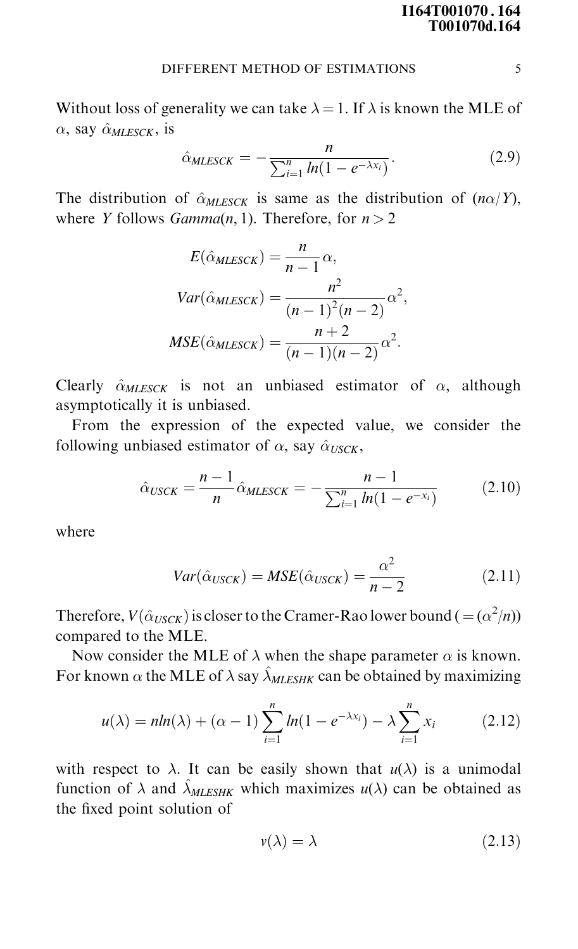Without loss of generality we can take  $\lambda = 1$ . If  $\lambda$  is known the MLE of  $\alpha$ , say  $\hat{\alpha}_{MIESCK}$ , is

$$
\hat{\alpha}_{MLESCK} = -\frac{n}{\sum_{i=1}^{n} ln(1 - e^{-\lambda x_i})}.
$$
\n(2.9)

The distribution of  $\hat{\alpha}_{MLESCK}$  is same as the distribution of  $(n\alpha/Y)$ , where Y follows  $Gamma(n, 1)$ . Therefore, for  $n > 2$ 

$$
E(\hat{\alpha}_{MLESCK}) = \frac{n}{n-1} \alpha,
$$
  
\n
$$
Var(\hat{\alpha}_{MLESCK}) = \frac{n^2}{(n-1)^2 (n-2)} \alpha^2,
$$
  
\n
$$
MSE(\hat{\alpha}_{MLESCK}) = \frac{n+2}{(n-1)(n-2)} \alpha^2.
$$

Clearly  $\hat{\alpha}_{MLESCK}$  is not an unbiased estimator of  $\alpha$ , although asymptotically it is unbiased.

From the expression of the expected value, we consider the following unbiased estimator of  $\alpha$ , say  $\hat{\alpha}_{USCK}$ ,

$$
\hat{\alpha}_{USCK} = \frac{n-1}{n} \hat{\alpha}_{MLESCK} = -\frac{n-1}{\sum_{i=1}^{n} ln(1 - e^{-x_i})}
$$
(2.10)

where

$$
Var(\hat{\alpha}_{USCK}) = MSE(\hat{\alpha}_{USCK}) = \frac{\alpha^2}{n-2}
$$
 (2.11)

Therefore,  $V(\hat{\alpha}_{USCK})$  is closer to the Cramer-Rao lower bound (  $= (\alpha^2/n)$ ) compared to the MLE.

Now consider the MLE of  $\lambda$  when the shape parameter  $\alpha$  is known. For known  $\alpha$  the MLE of  $\lambda$  say  $\hat{\lambda}_{MLESHK}$  can be obtained by maximizing

$$
u(\lambda) = n \ln(\lambda) + (\alpha - 1) \sum_{i=1}^{n} \ln(1 - e^{-\lambda x_i}) - \lambda \sum_{i=1}^{n} x_i
$$
 (2.12)

with respect to  $\lambda$ . It can be easily shown that  $u(\lambda)$  is a unimodal function of  $\lambda$  and  $\hat{\lambda}_{MLESHK}$  which maximizes  $u(\lambda)$  can be obtained as the fixed point solution of

$$
v(\lambda) = \lambda \tag{2.13}
$$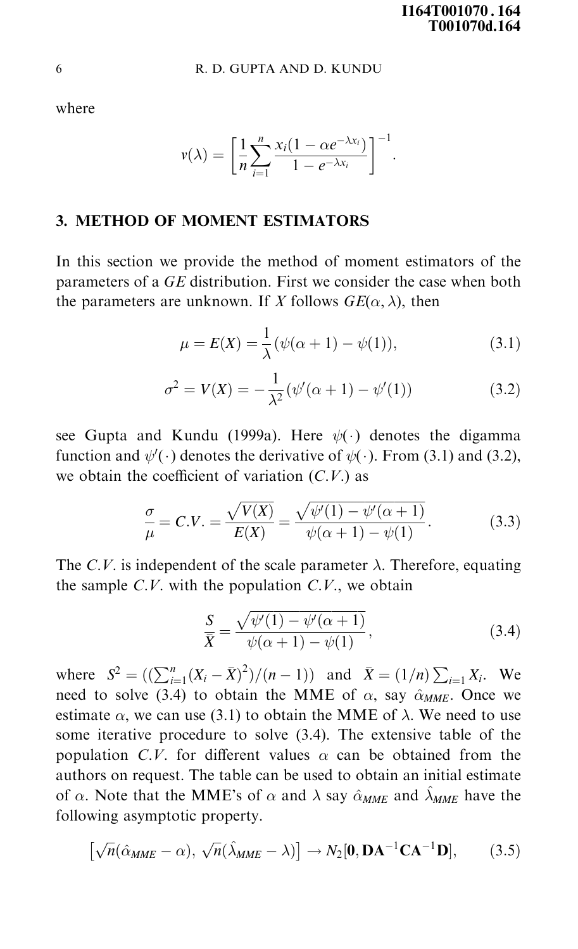where

$$
v(\lambda)=\bigg[\frac{1}{n}\sum_{i=1}^n\frac{x_i(1-\alpha e^{-\lambda x_i})}{1-e^{-\lambda x_i}}\bigg]^{-1}.
$$

# 3. METHOD OF MOMENT ESTIMATORS

In this section we provide the method of moment estimators of the parameters of a GE distribution. First we consider the case when both the parameters are unknown. If X follows  $GE(\alpha, \lambda)$ , then

$$
\mu = E(X) = \frac{1}{\lambda} (\psi(\alpha + 1) - \psi(1)), \tag{3.1}
$$

$$
\sigma^2 = V(X) = -\frac{1}{\lambda^2} (\psi'(\alpha + 1) - \psi'(1))
$$
\n(3.2)

see Gupta and Kundu (1999a). Here  $\psi(\cdot)$  denotes the digamma function and  $\psi'(\cdot)$  denotes the derivative of  $\psi(\cdot)$ . From (3.1) and (3.2), we obtain the coefficient of variation  $(C.V.)$  as

$$
\frac{\sigma}{\mu} = C.V. = \frac{\sqrt{V(X)}}{E(X)} = \frac{\sqrt{\psi'(1) - \psi'(\alpha + 1)}}{\psi(\alpha + 1) - \psi(1)}.
$$
\n(3.3)

The C.V. is independent of the scale parameter  $\lambda$ . Therefore, equating the sample  $C.V.$  with the population  $C.V.$ , we obtain

$$
\frac{S}{\overline{X}} = \frac{\sqrt{\psi'(1) - \psi'(\alpha + 1)}}{\psi(\alpha + 1) - \psi(1)},
$$
\n(3.4)

where  $S^2 = \left( \left( \sum_{i=1}^n (X_i - \bar{X})^2 \right) / (n-1) \right)$  and  $\bar{X} = (1/n) \sum_{i=1}^n X_i$ . We need to solve (3.4) to obtain the MME of  $\alpha$ , say  $\hat{\alpha}_{MME}$ . Once we estimate  $\alpha$ , we can use (3.1) to obtain the MME of  $\lambda$ . We need to use some iterative procedure to solve (3.4). The extensive table of the population C.V. for different values  $\alpha$  can be obtained from the authors on request. The table can be used to obtain an initial estimate of  $\alpha$ . Note that the MME's of  $\alpha$  and  $\lambda$  say  $\hat{\alpha}_{MME}$  and  $\hat{\lambda}_{MME}$  have the following asymptotic property.

$$
\left[\sqrt{n}(\hat{\alpha}_{MME}-\alpha), \sqrt{n}(\hat{\lambda}_{MME}-\lambda)\right] \to N_2[\mathbf{0}, \mathbf{DA}^{-1}\mathbf{CA}^{-1}\mathbf{D}],\tag{3.5}
$$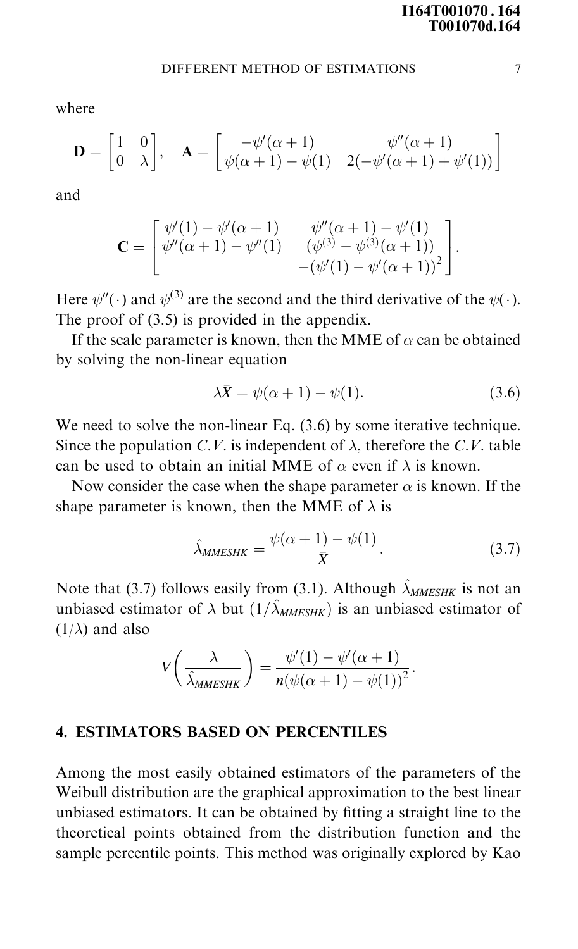where

$$
\mathbf{D} = \begin{bmatrix} 1 & 0 \\ 0 & \lambda \end{bmatrix}, \quad \mathbf{A} = \begin{bmatrix} -\psi'(\alpha+1) & \psi''(\alpha+1) \\ \psi(\alpha+1) - \psi(1) & 2(-\psi'(\alpha+1) + \psi'(1)) \end{bmatrix}
$$

and

$$
\mathbf{C} = \begin{bmatrix} \psi'(1) - \psi'(\alpha + 1) & \psi''(\alpha + 1) - \psi'(1) \\ \psi''(\alpha + 1) - \psi''(1) & (\psi^{(3)} - \psi^{(3)}(\alpha + 1)) \\ -(\psi'(1) - \psi'(\alpha + 1))^2 \end{bmatrix}.
$$

Here  $\psi''(\cdot)$  and  $\psi^{(3)}$  are the second and the third derivative of the  $\psi(\cdot)$ . The proof of (3.5) is provided in the appendix.

If the scale parameter is known, then the MME of  $\alpha$  can be obtained by solving the non-linear equation

$$
\lambda \bar{X} = \psi(\alpha + 1) - \psi(1). \tag{3.6}
$$

We need to solve the non-linear Eq.  $(3.6)$  by some iterative technique. Since the population C.V. is independent of  $\lambda$ , therefore the C.V. table can be used to obtain an initial MME of  $\alpha$  even if  $\lambda$  is known.

Now consider the case when the shape parameter  $\alpha$  is known. If the shape parameter is known, then the MME of  $\lambda$  is

$$
\hat{\lambda}_{MMESHK} = \frac{\psi(\alpha + 1) - \psi(1)}{\bar{X}}.
$$
\n(3.7)

Note that (3.7) follows easily from (3.1). Although  $\hat{\lambda}_{MMFSHK}$  is not an unbiased estimator of  $\lambda$  but  $(1/\hat{\lambda}_{MMESHK})$  is an unbiased estimator of  $(1/\lambda)$  and also

$$
V\left(\frac{\lambda}{\hat{\lambda}_{MMESHK}}\right) = \frac{\psi'(1) - \psi'(\alpha + 1)}{n(\psi(\alpha + 1) - \psi(1))^2}.
$$

#### 4. ESTIMATORS BASED ON PERCENTILES

Among the most easily obtained estimators of the parameters of the Weibull distribution are the graphical approximation to the best linear unbiased estimators. It can be obtained by fitting a straight line to the theoretical points obtained from the distribution function and the sample percentile points. This method was originally explored by Kao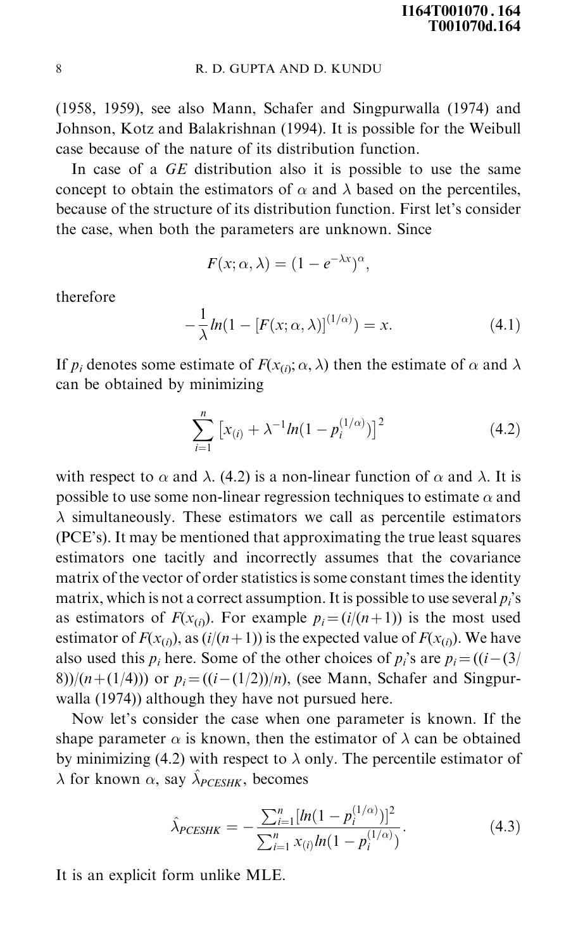(1958, 1959), see also Mann, Schafer and Singpurwalla (1974) and Johnson, Kotz and Balakrishnan (1994). It is possible for the Weibull case because of the nature of its distribution function.

In case of a GE distribution also it is possible to use the same concept to obtain the estimators of  $\alpha$  and  $\lambda$  based on the percentiles, because of the structure of its distribution function. First let's consider the case, when both the parameters are unknown. Since

$$
F(x; \alpha, \lambda) = (1 - e^{-\lambda x})^{\alpha},
$$

therefore

$$
-\frac{1}{\lambda}\ln(1 - [F(x; \alpha, \lambda)]^{(1/\alpha)}) = x.
$$
\n(4.1)

If  $p_i$  denotes some estimate of  $F(x_{(i)}; \alpha, \lambda)$  then the estimate of  $\alpha$  and  $\lambda$ can be obtained by minimizing

$$
\sum_{i=1}^{n} \left[ x_{(i)} + \lambda^{-1} \ln(1 - p_i^{(1/\alpha)}) \right]^2 \tag{4.2}
$$

with respect to  $\alpha$  and  $\lambda$ . (4.2) is a non-linear function of  $\alpha$  and  $\lambda$ . It is possible to use some non-linear regression techniques to estimate  $\alpha$  and  $\lambda$  simultaneously. These estimators we call as percentile estimators (PCE's). It may be mentioned that approximating the true least squares estimators one tacitly and incorrectly assumes that the covariance matrix of the vector of order statistics is some constant times the identity matrix, which is not a correct assumption. It is possible to use several  $p_i$ 's as estimators of  $F(x_{(i)})$ . For example  $p_i = (i/(n+1))$  is the most used estimator of  $F(x_{(i)})$ , as  $(i/(n+1))$  is the expected value of  $F(x_{(i)})$ . We have also used this  $p_i$  here. Some of the other choices of  $p_i$ 's are  $p_i = ((i - (3)/2i)$ 8))/(n+(1/4))) or  $p_i = ((i-(1/2))/n)$ , (see Mann, Schafer and Singpurwalla (1974)) although they have not pursued here.

Now let's consider the case when one parameter is known. If the shape parameter  $\alpha$  is known, then the estimator of  $\lambda$  can be obtained by minimizing (4.2) with respect to  $\lambda$  only. The percentile estimator of  $\lambda$  for known  $\alpha$ , say  $\hat{\lambda}_{PCESHK}$ , becomes

$$
\hat{\lambda}_{PCESHK} = -\frac{\sum_{i=1}^{n} [ln(1-p_i^{(1/\alpha)})]^2}{\sum_{i=1}^{n} x_{(i)} ln(1-p_i^{(1/\alpha)})}.
$$
\n(4.3)

It is an explicit form unlike MLE.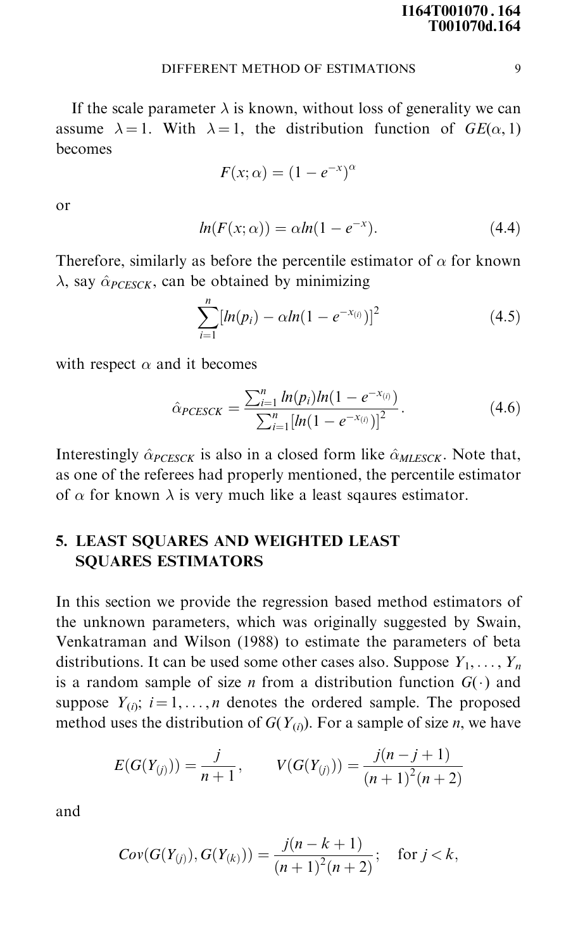If the scale parameter  $\lambda$  is known, without loss of generality we can assume  $\lambda = 1$ . With  $\lambda = 1$ , the distribution function of  $GE(\alpha, 1)$ becomes

$$
F(x; \alpha) = (1 - e^{-x})^{\alpha}
$$

or

$$
ln(F(x; \alpha)) = \alpha ln(1 - e^{-x}). \qquad (4.4)
$$

Therefore, similarly as before the percentile estimator of  $\alpha$  for known  $\lambda$ , say  $\hat{\alpha}_{PCESCK}$ , can be obtained by minimizing

$$
\sum_{i=1}^{n} [ln(p_i) - \alpha ln(1 - e^{-x_{(i)}})]^2
$$
\n(4.5)

with respect  $\alpha$  and it becomes

$$
\hat{\alpha}_{PCESCK} = \frac{\sum_{i=1}^{n} ln(p_i)ln(1 - e^{-x_{(i)}})}{\sum_{i=1}^{n} [ln(1 - e^{-x_{(i)}})]^2}.
$$
\n(4.6)

Interestingly  $\hat{\alpha}_{PCESCK}$  is also in a closed form like  $\hat{\alpha}_{MLESCK}$ . Note that, as one of the referees had properly mentioned, the percentile estimator of  $\alpha$  for known  $\lambda$  is very much like a least sqaures estimator.

# 5. LEAST SQUARES AND WEIGHTED LEAST SQUARES ESTIMATORS

In this section we provide the regression based method estimators of the unknown parameters, which was originally suggested by Swain, Venkatraman and Wilson (1988) to estimate the parameters of beta distributions. It can be used some other cases also. Suppose  $Y_1, \ldots, Y_n$ is a random sample of size *n* from a distribution function  $G(\cdot)$  and suppose  $Y_{(i)}$ ;  $i = 1, ..., n$  denotes the ordered sample. The proposed method uses the distribution of  $G(Y_{(i)})$ . For a sample of size *n*, we have

$$
E(G(Y_{(j)})) = \frac{j}{n+1}, \qquad V(G(Y_{(j)})) = \frac{j(n-j+1)}{(n+1)^2(n+2)}
$$

and

$$
Cov(G(Y_{(j)}), G(Y_{(k)})) = \frac{j(n-k+1)}{(n+1)^2(n+2)};
$$
 for  $j < k$ ,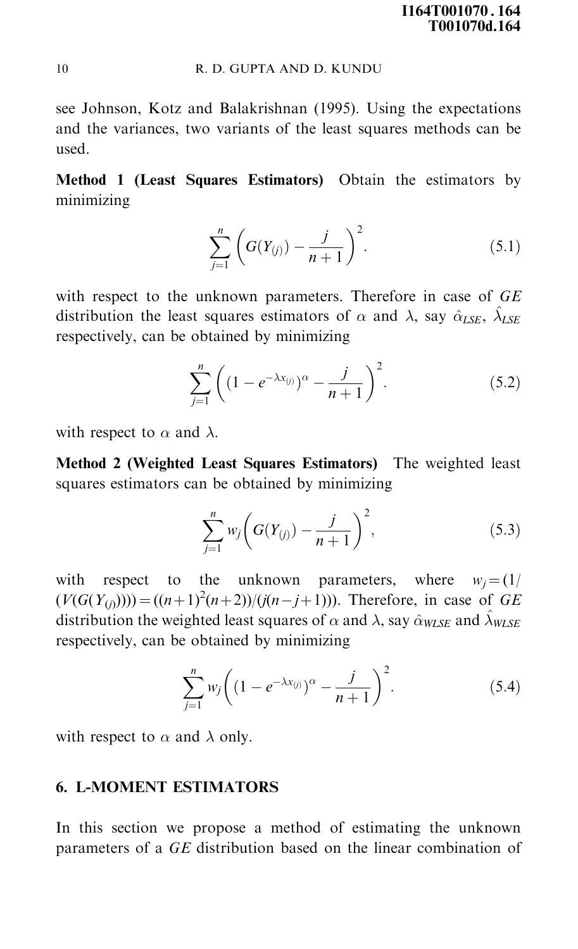see Johnson, Kotz and Balakrishnan (1995). Using the expectations and the variances, two variants of the least squares methods can be used.

Method 1 (Least Squares Estimators) Obtain the estimators by minimizing

$$
\sum_{j=1}^{n} \left( G(Y_{(j)}) - \frac{j}{n+1} \right)^2.
$$
 (5.1)

with respect to the unknown parameters. Therefore in case of  $GE$ distribution the least squares estimators of  $\alpha$  and  $\lambda$ , say  $\hat{\alpha}_{LSE}$ ,  $\hat{\lambda}_{LSE}$ respectively, can be obtained by minimizing

$$
\sum_{j=1}^{n} \left( (1 - e^{-\lambda x_{(j)}})^{\alpha} - \frac{j}{n+1} \right)^{2}.
$$
 (5.2)

with respect to  $\alpha$  and  $\lambda$ .

Method 2 (Weighted Least Squares Estimators) The weighted least squares estimators can be obtained by minimizing

$$
\sum_{j=1}^{n} w_j \bigg( G(Y_{(j)}) - \frac{j}{n+1} \bigg)^2, \tag{5.3}
$$

with respect to the unknown parameters, where  $w_i = (1/2)^2$  $(V(G(Y_{(j)}))) = ((n+1)^2(n+2))/(j(n-j+1))$ . Therefore, in case of GE distribution the weighted least squares of  $\alpha$  and  $\lambda$ , say  $\hat{\alpha}_{WLSE}$  and  $\hat{\lambda}_{WLSE}$ respectively, can be obtained by minimizing

$$
\sum_{j=1}^{n} w_j \left( (1 - e^{-\lambda x_{(j)}})^{\alpha} - \frac{j}{n+1} \right)^2.
$$
 (5.4)

with respect to  $\alpha$  and  $\lambda$  only.

## 6. L-MOMENT ESTIMATORS

In this section we propose a method of estimating the unknown parameters of a GE distribution based on the linear combination of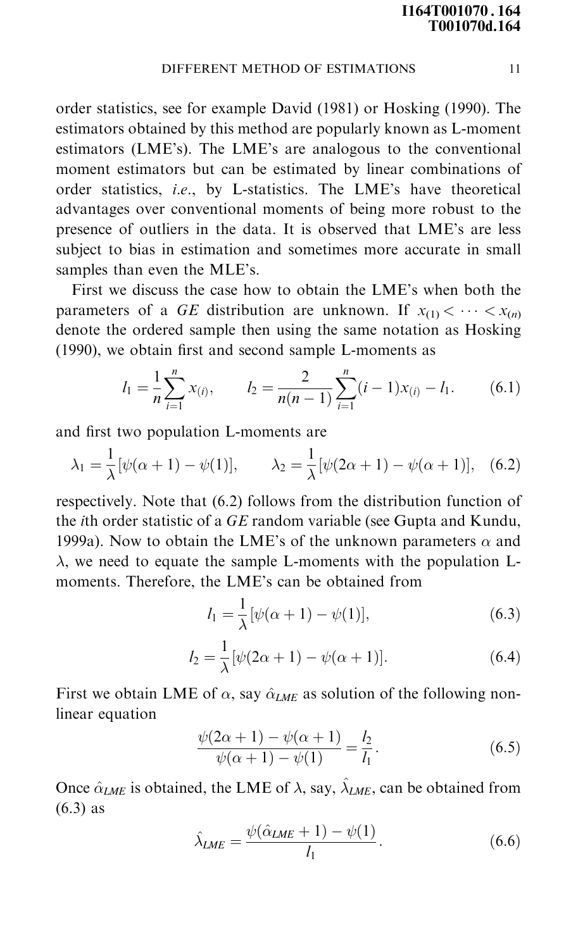order statistics, see for example David (1981) or Hosking (1990). The estimators obtained by this method are popularly known as L-moment estimators (LME's). The LME's are analogous to the conventional moment estimators but can be estimated by linear combinations of order statistics, i.e., by L-statistics. The LME's have theoretical advantages over conventional moments of being more robust to the presence of outliers in the data. It is observed that LME's are less subject to bias in estimation and sometimes more accurate in small samples than even the MLE's.

First we discuss the case how to obtain the LME's when both the parameters of a GE distribution are unknown. If  $x_{(1)} < \cdots < x_{(n)}$ denote the ordered sample then using the same notation as Hosking  $(1990)$ , we obtain first and second sample L-moments as

$$
l_1 = \frac{1}{n} \sum_{i=1}^{n} x_{(i)}, \qquad l_2 = \frac{2}{n(n-1)} \sum_{i=1}^{n} (i-1) x_{(i)} - l_1.
$$
 (6.1)

and first two population L-moments are

$$
\lambda_1 = \frac{1}{\lambda} [\psi(\alpha + 1) - \psi(1)], \qquad \lambda_2 = \frac{1}{\lambda} [\psi(2\alpha + 1) - \psi(\alpha + 1)], \quad (6.2)
$$

respectively. Note that (6.2) follows from the distribution function of the ith order statistic of a GE random variable (see Gupta and Kundu, 1999a). Now to obtain the LME's of the unknown parameters  $\alpha$  and  $\lambda$ , we need to equate the sample L-moments with the population Lmoments. Therefore, the LME's can be obtained from

$$
l_1 = \frac{1}{\lambda} [\psi(\alpha + 1) - \psi(1)], \tag{6.3}
$$

$$
l_2 = \frac{1}{\lambda} [\psi(2\alpha + 1) - \psi(\alpha + 1)].
$$
 (6.4)

First we obtain LME of  $\alpha$ , say  $\hat{\alpha}_{LME}$  as solution of the following nonlinear equation

$$
\frac{\psi(2\alpha+1) - \psi(\alpha+1)}{\psi(\alpha+1) - \psi(1)} = \frac{l_2}{l_1}.
$$
\n(6.5)

Once  $\hat{\alpha}_{LME}$  is obtained, the LME of  $\lambda$ , say,  $\hat{\lambda}_{LME}$ , can be obtained from (6.3) as

$$
\hat{\lambda}_{LME} = \frac{\psi(\hat{\alpha}_{LME} + 1) - \psi(1)}{l_1}.
$$
\n(6.6)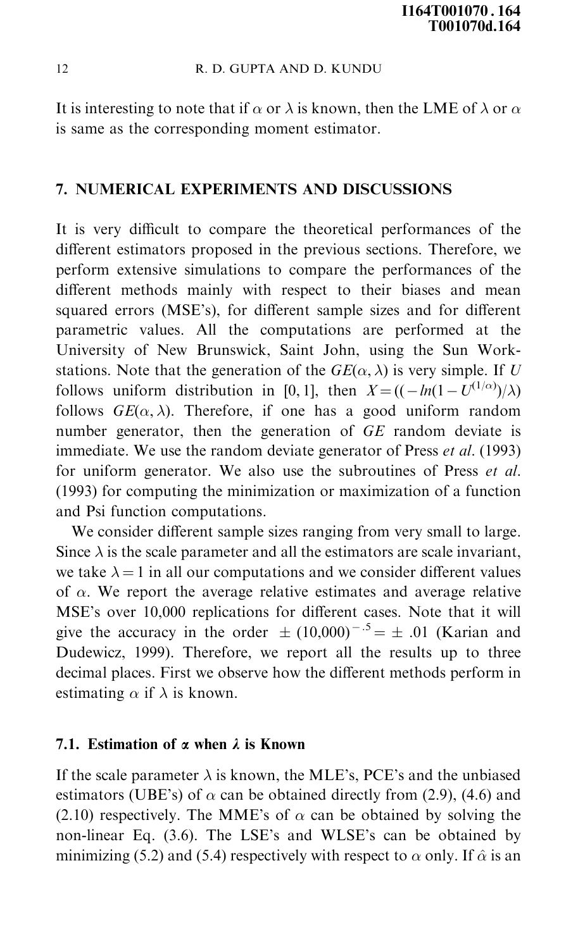It is interesting to note that if  $\alpha$  or  $\lambda$  is known, then the LME of  $\lambda$  or  $\alpha$ is same as the corresponding moment estimator.

## 7. NUMERICAL EXPERIMENTS AND DISCUSSIONS

It is very difficult to compare the theoretical performances of the different estimators proposed in the previous sections. Therefore, we perform extensive simulations to compare the performances of the different methods mainly with respect to their biases and mean squared errors (MSE's), for different sample sizes and for different parametric values. All the computations are performed at the University of New Brunswick, Saint John, using the Sun Workstations. Note that the generation of the  $GE(\alpha, \lambda)$  is very simple. If U follows uniform distribution in [0, 1], then  $X = ((-\ln(1-U^{(1/\alpha)})/\lambda)$ follows  $GE(\alpha, \lambda)$ . Therefore, if one has a good uniform random number generator, then the generation of GE random deviate is immediate. We use the random deviate generator of Press *et al.* (1993) for uniform generator. We also use the subroutines of Press et al. (1993) for computing the minimization or maximization of a function and Psi function computations.

We consider different sample sizes ranging from very small to large. Since  $\lambda$  is the scale parameter and all the estimators are scale invariant, we take  $\lambda = 1$  in all our computations and we consider different values of  $\alpha$ . We report the average relative estimates and average relative MSE's over 10,000 replications for different cases. Note that it will give the accuracy in the order  $\pm (10,000)^{-.5} = \pm .01$  (Karian and Dudewicz, 1999). Therefore, we report all the results up to three decimal places. First we observe how the different methods perform in estimating  $\alpha$  if  $\lambda$  is known.

## 7.1. Estimation of  $\alpha$  when  $\lambda$  is Known

If the scale parameter  $\lambda$  is known, the MLE's, PCE's and the unbiased estimators (UBE's) of  $\alpha$  can be obtained directly from (2.9), (4.6) and (2.10) respectively. The MME's of  $\alpha$  can be obtained by solving the non-linear Eq. (3.6). The LSE's and WLSE's can be obtained by minimizing (5.2) and (5.4) respectively with respect to  $\alpha$  only. If  $\hat{\alpha}$  is an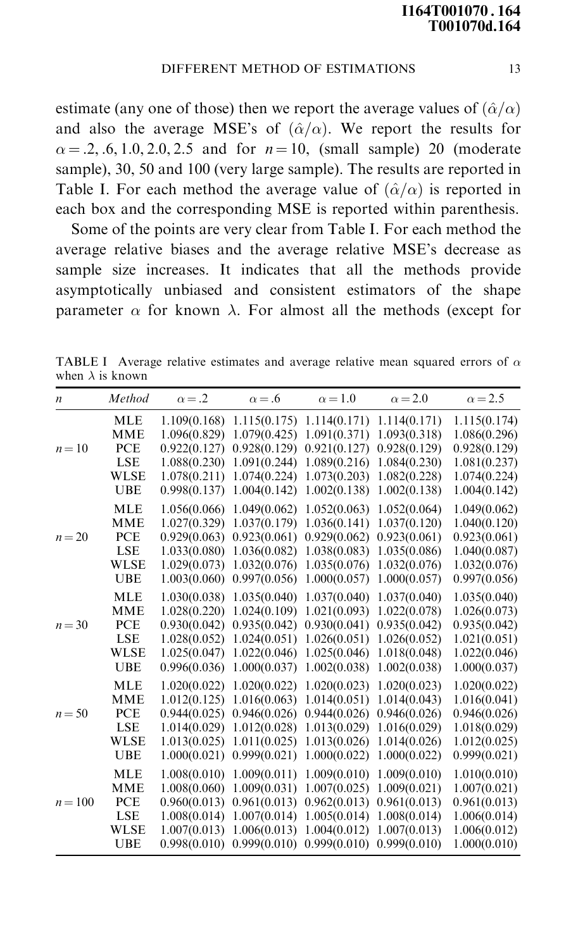estimate (any one of those) then we report the average values of  $(\hat{\alpha}/\alpha)$ and also the average MSE's of  $(\hat{\alpha}/\alpha)$ . We report the results for  $\alpha = 0.2, 0.6, 1.0, 2.0, 2.5$  and for  $n = 10$ , (small sample) 20 (moderate sample), 30, 50 and 100 (very large sample). The results are reported in Table I. For each method the average value of  $(\hat{\alpha}/\alpha)$  is reported in each box and the corresponding MSE is reported within parenthesis.

Some of the points are very clear from Table I. For each method the average relative biases and the average relative MSE's decrease as sample size increases. It indicates that all the methods provide asymptotically unbiased and consistent estimators of the shape parameter  $\alpha$  for known  $\lambda$ . For almost all the methods (except for

| $\boldsymbol{n}$ | Method      | $\alpha = .2$ | $\alpha = .6$ | $\alpha = 1.0$ | $\alpha = 2.0$ | $\alpha$ = 2.5 |
|------------------|-------------|---------------|---------------|----------------|----------------|----------------|
|                  | <b>MLE</b>  | 1.109(0.168)  | 1.115(0.175)  | 1.114(0.171)   | 1.114(0.171)   | 1.115(0.174)   |
|                  | MME         | 1.096(0.829)  | 1.079(0.425)  | 1.091(0.371)   | 1.093(0.318)   | 1.086(0.296)   |
| $n=10$           | PCE         | 0.922(0.127)  | 0.928(0.129)  | 0.921(0.127)   | 0.928(0.129)   | 0.928(0.129)   |
|                  | <b>LSE</b>  | 1.088(0.230)  | 1.091(0.244)  | 1.089(0.216)   | 1.084(0.230)   | 1.081(0.237)   |
|                  | <b>WLSE</b> | 1.078(0.211)  | 1.074(0.224)  | 1.073(0.203)   | 1.082(0.228)   | 1.074(0.224)   |
|                  | <b>UBE</b>  | 0.998(0.137)  | 1.004(0.142)  | 1.002(0.138)   | 1.002(0.138)   | 1.004(0.142)   |
|                  | <b>MLE</b>  | 1.056(0.066)  | 1.049(0.062)  | 1.052(0.063)   | 1.052(0.064)   | 1.049(0.062)   |
|                  | MME         | 1.027(0.329)  | 1.037(0.179)  | 1.036(0.141)   | 1.037(0.120)   | 1.040(0.120)   |
| $n = 20$         | PCE         | 0.929(0.063)  | 0.923(0.061)  | 0.929(0.062)   | 0.923(0.061)   | 0.923(0.061)   |
|                  | <b>LSE</b>  | 1.033(0.080)  | 1.036(0.082)  | 1.038(0.083)   | 1.035(0.086)   | 1.040(0.087)   |
|                  | WLSE        | 1.029(0.073)  | 1.032(0.076)  | 1.035(0.076)   | 1.032(0.076)   | 1.032(0.076)   |
|                  | <b>UBE</b>  | 1.003(0.060)  | 0.997(0.056)  | 1.000(0.057)   | 1.000(0.057)   | 0.997(0.056)   |
|                  | <b>MLE</b>  | 1.030(0.038)  | 1.035(0.040)  | 1.037(0.040)   | 1.037(0.040)   | 1.035(0.040)   |
|                  | MME         | 1.028(0.220)  | 1.024(0.109)  | 1.021(0.093)   | 1.022(0.078)   | 1.026(0.073)   |
| $n = 30$         | PCE         | 0.930(0.042)  | 0.935(0.042)  | 0.930(0.041)   | 0.935(0.042)   | 0.935(0.042)   |
|                  | <b>LSE</b>  | 1.028(0.052)  | 1.024(0.051)  | 1.026(0.051)   | 1.026(0.052)   | 1.021(0.051)   |
|                  | <b>WLSE</b> | 1.025(0.047)  | 1.022(0.046)  | 1.025(0.046)   | 1.018(0.048)   | 1.022(0.046)   |
|                  | <b>UBE</b>  | 0.996(0.036)  | 1.000(0.037)  | 1.002(0.038)   | 1.002(0.038)   | 1.000(0.037)   |
|                  | <b>MLE</b>  | 1.020(0.022)  | 1.020(0.022)  | 1.020(0.023)   | 1.020(0.023)   | 1.020(0.022)   |
|                  | <b>MME</b>  | 1.012(0.125)  | 1.016(0.063)  | 1.014(0.051)   | 1.014(0.043)   | 1.016(0.041)   |
| $n = 50$         | <b>PCE</b>  | 0.944(0.025)  | 0.946(0.026)  | 0.944(0.026)   | 0.946(0.026)   | 0.946(0.026)   |
|                  | <b>LSE</b>  | 1.014(0.029)  | 1.012(0.028)  | 1.013(0.029)   | 1.016(0.029)   | 1.018(0.029)   |
|                  | <b>WLSE</b> | 1.013(0.025)  | 1.011(0.025)  | 1.013(0.026)   | 1.014(0.026)   | 1.012(0.025)   |
|                  | <b>UBE</b>  | 1.000(0.021)  | 0.999(0.021)  | 1.000(0.022)   | 1.000(0.022)   | 0.999(0.021)   |
|                  | <b>MLE</b>  | 1.008(0.010)  | 1.009(0.011)  | 1.009(0.010)   | 1.009(0.010)   | 1.010(0.010)   |
|                  | <b>MME</b>  | 1.008(0.060)  | 1.009(0.031)  | 1.007(0.025)   | 1.009(0.021)   | 1.007(0.021)   |
| $n = 100$        | <b>PCE</b>  | 0.960(0.013)  | 0.961(0.013)  | 0.962(0.013)   | 0.961(0.013)   | 0.961(0.013)   |
|                  | <b>LSE</b>  | 1.008(0.014)  | 1.007(0.014)  | 1.005(0.014)   | 1.008(0.014)   | 1.006(0.014)   |
|                  | <b>WLSE</b> | 1.007(0.013)  | 1.006(0.013)  | 1.004(0.012)   | 1.007(0.013)   | 1.006(0.012)   |
|                  | <b>UBE</b>  | 0.998(0.010)  | 0.999(0.010)  | 0.999(0.010)   | 0.999(0.010)   | 1.000(0.010)   |

TABLE I Average relative estimates and average relative mean squared errors of  $\alpha$ when  $\lambda$  is known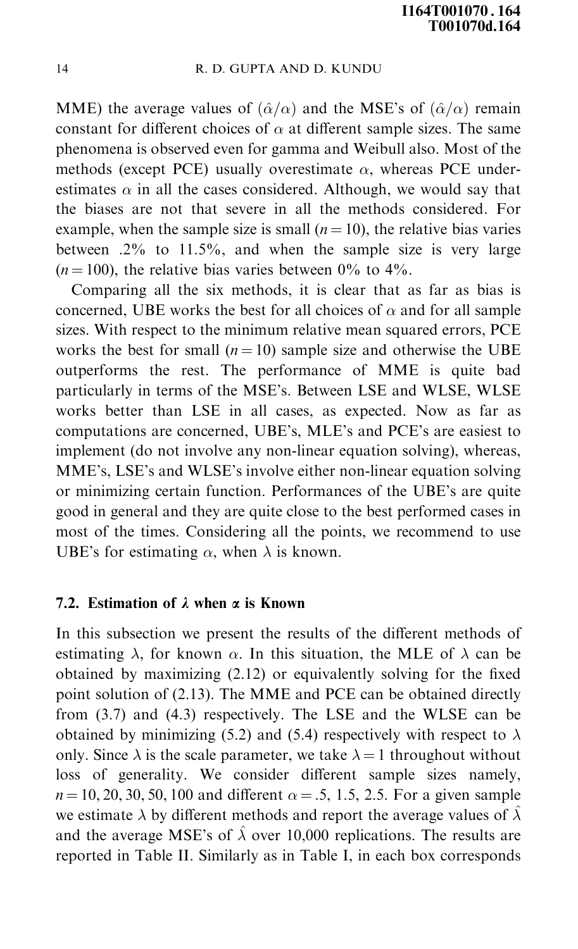MME) the average values of  $(\hat{\alpha}/\alpha)$  and the MSE's of  $(\hat{\alpha}/\alpha)$  remain constant for different choices of  $\alpha$  at different sample sizes. The same phenomena is observed even for gamma and Weibull also. Most of the methods (except PCE) usually overestimate  $\alpha$ , whereas PCE underestimates  $\alpha$  in all the cases considered. Although, we would say that the biases are not that severe in all the methods considered. For example, when the sample size is small  $(n = 10)$ , the relative bias varies between  $.2\%$  to  $11.5\%$ , and when the sample size is very large  $(n = 100)$ , the relative bias varies between 0% to 4%.

Comparing all the six methods, it is clear that as far as bias is concerned, UBE works the best for all choices of  $\alpha$  and for all sample sizes. With respect to the minimum relative mean squared errors, PCE works the best for small  $(n = 10)$  sample size and otherwise the UBE outperforms the rest. The performance of MME is quite bad particularly in terms of the MSE's. Between LSE and WLSE, WLSE works better than LSE in all cases, as expected. Now as far as computations are concerned, UBE's, MLE's and PCE's are easiest to implement (do not involve any non-linear equation solving), whereas, MME's, LSE's and WLSE's involve either non-linear equation solving or minimizing certain function. Performances of the UBE's are quite good in general and they are quite close to the best performed cases in most of the times. Considering all the points, we recommend to use UBE's for estimating  $\alpha$ , when  $\lambda$  is known.

## 7.2. Estimation of  $\lambda$  when  $\alpha$  is Known

In this subsection we present the results of the different methods of estimating  $\lambda$ , for known  $\alpha$ . In this situation, the MLE of  $\lambda$  can be obtained by maximizing  $(2.12)$  or equivalently solving for the fixed point solution of (2.13). The MME and PCE can be obtained directly from (3.7) and (4.3) respectively. The LSE and the WLSE can be obtained by minimizing (5.2) and (5.4) respectively with respect to  $\lambda$ only. Since  $\lambda$  is the scale parameter, we take  $\lambda = 1$  throughout without loss of generality. We consider different sample sizes namely,  $n = 10, 20, 30, 50, 100$  and different  $\alpha = .5, 1.5, 2.5$ . For a given sample we estimate  $\lambda$  by different methods and report the average values of  $\hat{\lambda}$ and the average MSE's of  $\hat{\lambda}$  over 10,000 replications. The results are reported in Table II. Similarly as in Table I, in each box corresponds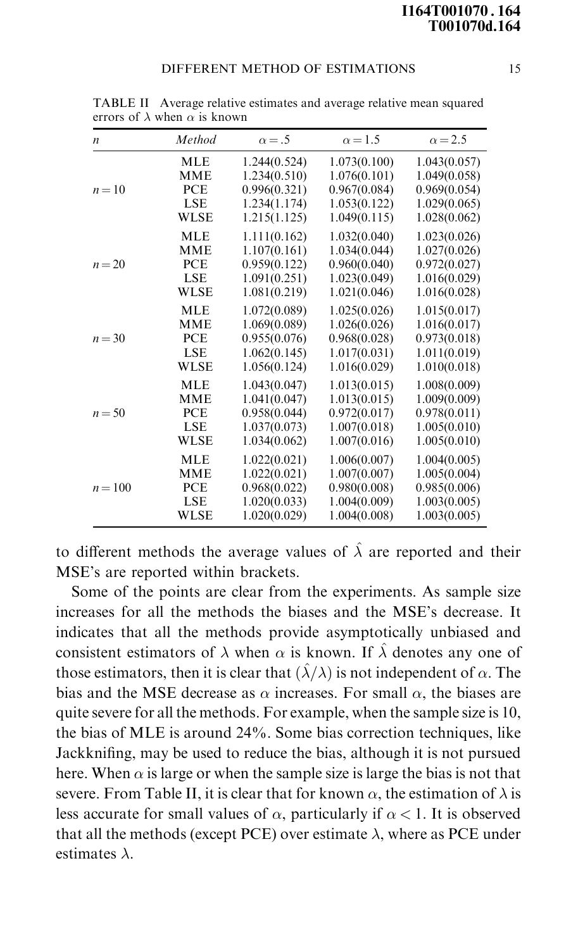| n        | Method      | $\alpha = .5$ | $\alpha$ = 1.5 | $\alpha$ = 2.5 |  |  |  |
|----------|-------------|---------------|----------------|----------------|--|--|--|
| $n=10$   | MLE         | 1.244(0.524)  | 1.073(0.100)   | 1.043(0.057)   |  |  |  |
|          | <b>MME</b>  | 1.234(0.510)  | 1.076(0.101)   | 1.049(0.058)   |  |  |  |
|          | PCE         | 0.996(0.321)  | 0.967(0.084)   | 0.969(0.054)   |  |  |  |
|          | LSE         | 1.234(1.174)  | 1.053(0.122)   | 1.029(0.065)   |  |  |  |
|          | <b>WLSE</b> | 1.215(1.125)  | 1.049(0.115)   | 1.028(0.062)   |  |  |  |
| $n = 20$ | <b>MLE</b>  | 1.111(0.162)  | 1.032(0.040)   | 1.023(0.026)   |  |  |  |
|          | <b>MME</b>  | 1.107(0.161)  | 1.034(0.044)   | 1.027(0.026)   |  |  |  |
|          | PCE         | 0.959(0.122)  | 0.960(0.040)   | 0.972(0.027)   |  |  |  |
|          | <b>LSE</b>  | 1.091(0.251)  | 1.023(0.049)   | 1.016(0.029)   |  |  |  |
|          | <b>WLSE</b> | 1.081(0.219)  | 1.021(0.046)   | 1.016(0.028)   |  |  |  |
| $n = 30$ | <b>MLE</b>  | 1.072(0.089)  | 1.025(0.026)   | 1.015(0.017)   |  |  |  |
|          | <b>MME</b>  | 1.069(0.089)  | 1.026(0.026)   | 1.016(0.017)   |  |  |  |
|          | <b>PCE</b>  | 0.955(0.076)  | 0.968(0.028)   | 0.973(0.018)   |  |  |  |
|          | <b>LSE</b>  | 1.062(0.145)  | 1.017(0.031)   | 1.011(0.019)   |  |  |  |
|          | <b>WLSE</b> | 1.056(0.124)  | 1.016(0.029)   | 1.010(0.018)   |  |  |  |
| $n = 50$ | <b>MLE</b>  | 1.043(0.047)  | 1.013(0.015)   | 1.008(0.009)   |  |  |  |
|          | MME         | 1.041(0.047)  | 1.013(0.015)   | 1.009(0.009)   |  |  |  |
|          | PCE         | 0.958(0.044)  | 0.972(0.017)   | 0.978(0.011)   |  |  |  |
|          | <b>LSE</b>  | 1.037(0.073)  | 1.007(0.018)   | 1.005(0.010)   |  |  |  |
|          | WLSE        | 1.034(0.062)  | 1.007(0.016)   | 1.005(0.010)   |  |  |  |
| $n=100$  | <b>MLE</b>  | 1.022(0.021)  | 1.006(0.007)   | 1.004(0.005)   |  |  |  |
|          | <b>MME</b>  | 1.022(0.021)  | 1.007(0.007)   | 1.005(0.004)   |  |  |  |
|          | PCE         | 0.968(0.022)  | 0.980(0.008)   | 0.985(0.006)   |  |  |  |
|          | <b>LSE</b>  | 1.020(0.033)  | 1.004(0.009)   | 1.003(0.005)   |  |  |  |
|          | WLSE        | 1.020(0.029)  | 1.004(0.008)   | 1.003(0.005)   |  |  |  |

TABLE II Average relative estimates and average relative mean squared errors of  $\lambda$  when  $\alpha$  is known

to different methods the average values of  $\hat{\lambda}$  are reported and their MSE's are reported within brackets.

Some of the points are clear from the experiments. As sample size increases for all the methods the biases and the MSE's decrease. It indicates that all the methods provide asymptotically unbiased and consistent estimators of  $\lambda$  when  $\alpha$  is known. If  $\hat{\lambda}$  denotes any one of those estimators, then it is clear that  $(\hat{\lambda}/\lambda)$  is not independent of  $\alpha$ . The bias and the MSE decrease as  $\alpha$  increases. For small  $\alpha$ , the biases are quite severe for all the methods. For example, when the sample size is 10, the bias of MLE is around 24%. Some bias correction techniques, like Jackknifing, may be used to reduce the bias, although it is not pursued here. When  $\alpha$  is large or when the sample size is large the bias is not that severe. From Table II, it is clear that for known  $\alpha$ , the estimation of  $\lambda$  is less accurate for small values of  $\alpha$ , particularly if  $\alpha$  < 1. It is observed that all the methods (except PCE) over estimate  $\lambda$ , where as PCE under estimates  $\lambda$ .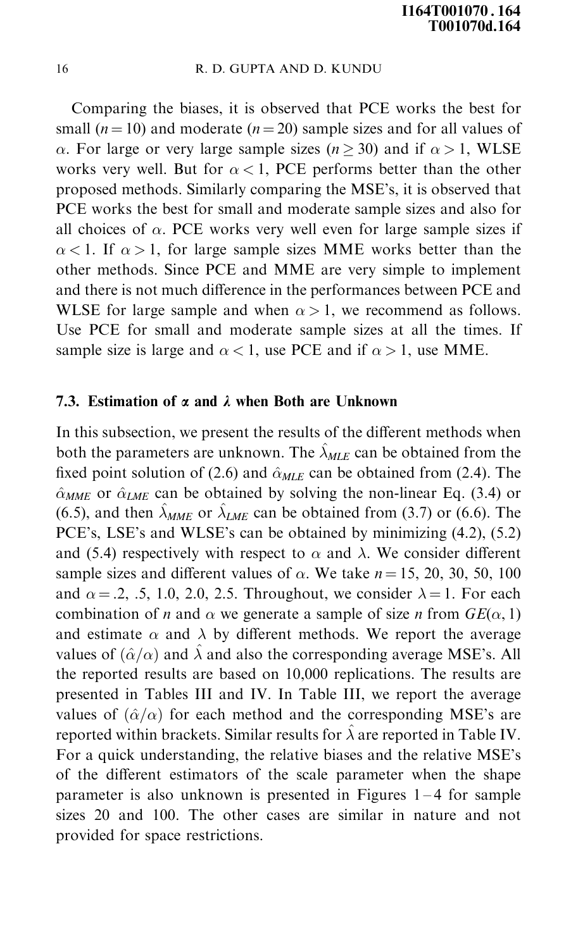Comparing the biases, it is observed that PCE works the best for small ( $n = 10$ ) and moderate ( $n = 20$ ) sample sizes and for all values of  $\alpha$ . For large or very large sample sizes ( $n \ge 30$ ) and if  $\alpha > 1$ , WLSE works very well. But for  $\alpha < 1$ , PCE performs better than the other proposed methods. Similarly comparing the MSE's, it is observed that PCE works the best for small and moderate sample sizes and also for all choices of  $\alpha$ . PCE works very well even for large sample sizes if  $\alpha$  < 1. If  $\alpha$  > 1, for large sample sizes MME works better than the other methods. Since PCE and MME are very simple to implement and there is not much difference in the performances between PCE and WLSE for large sample and when  $\alpha > 1$ , we recommend as follows. Use PCE for small and moderate sample sizes at all the times. If sample size is large and  $\alpha < 1$ , use PCE and if  $\alpha > 1$ , use MME.

## 7.3. Estimation of  $\alpha$  and  $\lambda$  when Both are Unknown

In this subsection, we present the results of the different methods when both the parameters are unknown. The  $\hat{\lambda}_{MLE}$  can be obtained from the fixed point solution of (2.6) and  $\hat{\alpha}_{MLE}$  can be obtained from (2.4). The  $\hat{\alpha}_{MME}$  or  $\hat{\alpha}_{LME}$  can be obtained by solving the non-linear Eq. (3.4) or (6.5), and then  $\hat{\lambda}_{MME}$  or  $\hat{\lambda}_{IME}$  can be obtained from (3.7) or (6.6). The PCE's, LSE's and WLSE's can be obtained by minimizing  $(4.2)$ ,  $(5.2)$ and (5.4) respectively with respect to  $\alpha$  and  $\lambda$ . We consider different sample sizes and different values of  $\alpha$ . We take  $n = 15, 20, 30, 50, 100$ and  $\alpha = 0.2, 0.5, 1.0, 2.0, 2.5$ . Throughout, we consider  $\lambda = 1$ . For each combination of *n* and  $\alpha$  we generate a sample of size *n* from  $GE(\alpha, 1)$ and estimate  $\alpha$  and  $\lambda$  by different methods. We report the average values of  $(\hat{\alpha}/\alpha)$  and  $\hat{\lambda}$  and also the corresponding average MSE's. All the reported results are based on 10,000 replications. The results are presented in Tables III and IV. In Table III, we report the average values of  $(\hat{\alpha}/\alpha)$  for each method and the corresponding MSE's are reported within brackets. Similar results for  $\hat{\lambda}$  are reported in Table IV. For a quick understanding, the relative biases and the relative MSE's of the different estimators of the scale parameter when the shape parameter is also unknown is presented in Figures  $1-4$  for sample sizes 20 and 100. The other cases are similar in nature and not provided for space restrictions.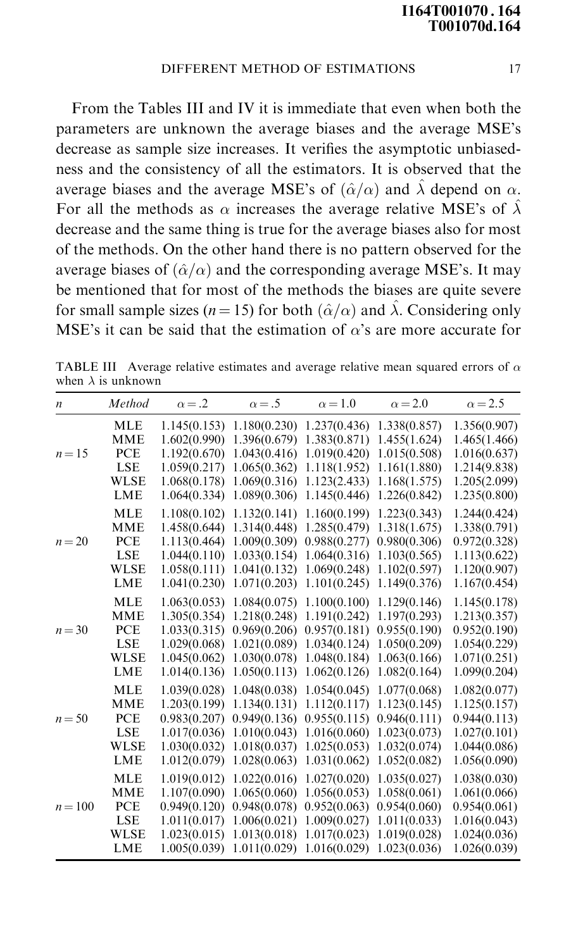From the Tables III and IV it is immediate that even when both the parameters are unknown the average biases and the average MSE's decrease as sample size increases. It verifies the asymptotic unbiasedness and the consistency of all the estimators. It is observed that the average biases and the average MSE's of  $(\hat{\alpha}/\alpha)$  and  $\hat{\lambda}$  depend on  $\alpha$ . For all the methods as  $\alpha$  increases the average relative MSE's of  $\hat{\lambda}$ decrease and the same thing is true for the average biases also for most of the methods. On the other hand there is no pattern observed for the average biases of  $(\hat{\alpha}/\alpha)$  and the corresponding average MSE's. It may be mentioned that for most of the methods the biases are quite severe for small sample sizes ( $n = 15$ ) for both ( $\hat{\alpha}/\alpha$ ) and  $\hat{\lambda}$ . Considering only MSE's it can be said that the estimation of  $\alpha$ 's are more accurate for

| $\boldsymbol{n}$ | Method      | $\alpha = .2$ | $\alpha = .5$                 | $\alpha = 1.0$ | $\alpha = 2.0$                | $\alpha = 2.5$ |
|------------------|-------------|---------------|-------------------------------|----------------|-------------------------------|----------------|
|                  | <b>MLE</b>  | 1.145(0.153)  | 1.180(0.230)                  | 1.237(0.436)   | 1.338(0.857)                  | 1.356(0.907)   |
|                  | <b>MME</b>  |               | $1.602(0.990)$ $1.396(0.679)$ | 1.383(0.871)   | 1.455(1.624)                  | 1.465(1.466)   |
| $n=15$           | <b>PCE</b>  | 1.192(0.670)  | 1.043(0.416)                  | 1.019(0.420)   | 1.015(0.508)                  | 1.016(0.637)   |
|                  | <b>LSE</b>  | 1.059(0.217)  | 1.065(0.362)                  | 1.118(1.952)   | 1.161(1.880)                  | 1.214(9.838)   |
|                  | <b>WLSE</b> | 1.068(0.178)  | 1.069(0.316)                  | 1.123(2.433)   | 1.168(1.575)                  | 1.205(2.099)   |
|                  | LME         | 1.064(0.334)  | 1.089(0.306)                  | 1.145(0.446)   | 1.226(0.842)                  | 1.235(0.800)   |
|                  | <b>MLE</b>  | 1.108(0.102)  | 1.132(0.141)                  | 1.160(0.199)   | 1.223(0.343)                  | 1.244(0.424)   |
|                  | <b>MME</b>  | 1.458(0.644)  | 1.314(0.448)                  | 1.285(0.479)   | 1.318(1.675)                  | 1.338(0.791)   |
| $n = 20$         | PCE         | 1.113(0.464)  | 1.009(0.309)                  | 0.988(0.277)   | 0.980(0.306)                  | 0.972(0.328)   |
|                  | <b>LSE</b>  | 1.044(0.110)  | 1.033(0.154)                  | 1.064(0.316)   | 1.103(0.565)                  | 1.113(0.622)   |
|                  | <b>WLSE</b> | 1.058(0.111)  | 1.041(0.132)                  | 1.069(0.248)   | 1.102(0.597)                  | 1.120(0.907)   |
|                  | LME         | 1.041(0.230)  | 1.071(0.203)                  | 1.101(0.245)   | 1.149(0.376)                  | 1.167(0.454)   |
|                  | <b>MLE</b>  | 1.063(0.053)  | 1.084(0.075)                  | 1.100(0.100)   | 1.129(0.146)                  | 1.145(0.178)   |
|                  | <b>MME</b>  | 1.305(0.354)  | 1.218(0.248)                  | 1.191(0.242)   | 1.197(0.293)                  | 1.213(0.357)   |
| $n = 30$         | PCE         |               | 1.033(0.315) 0.969(0.206)     |                | $0.957(0.181)$ $0.955(0.190)$ | 0.952(0.190)   |
|                  | <b>LSE</b>  | 1.029(0.068)  | 1.021(0.089)                  | 1.034(0.124)   | 1.050(0.209)                  | 1.054(0.229)   |
|                  | <b>WLSE</b> | 1.045(0.062)  | 1.030(0.078)                  | 1.048(0.184)   | 1.063(0.166)                  | 1.071(0.251)   |
|                  | LME         | 1.014(0.136)  | 1.050(0.113)                  | 1.062(0.126)   | 1.082(0.164)                  | 1.099(0.204)   |
|                  | <b>MLE</b>  | 1.039(0.028)  | 1.048(0.038)                  | 1.054(0.045)   | 1.077(0.068)                  | 1.082(0.077)   |
|                  | <b>MME</b>  | 1.203(0.199)  | 1.134(0.131)                  |                | $1.112(0.117)$ $1.123(0.145)$ | 1.125(0.157)   |
| $n = 50$         | PCE         | 0.983(0.207)  | 0.949(0.136)                  | 0.955(0.115)   | 0.946(0.111)                  | 0.944(0.113)   |
|                  | <b>LSE</b>  | 1.017(0.036)  | 1.010(0.043)                  | 1.016(0.060)   | 1.023(0.073)                  | 1.027(0.101)   |
|                  | <b>WLSE</b> | 1.030(0.032)  | 1.018(0.037)                  | 1.025(0.053)   | 1.032(0.074)                  | 1.044(0.086)   |
|                  | <b>LME</b>  | 1.012(0.079)  | 1.028(0.063)                  | 1.031(0.062)   | 1.052(0.082)                  | 1.056(0.090)   |
|                  | <b>MLE</b>  | 1.019(0.012)  | 1.022(0.016)                  | 1.027(0.020)   | 1.035(0.027)                  | 1.038(0.030)   |
|                  | <b>MME</b>  | 1.107(0.090)  | 1.065(0.060)                  | 1.056(0.053)   | 1.058(0.061)                  | 1.061(0.066)   |
| $n = 100$        | PCE         | 0.949(0.120)  | 0.948(0.078)                  | 0.952(0.063)   | 0.954(0.060)                  | 0.954(0.061)   |
|                  | <b>LSE</b>  | 1.011(0.017)  | 1.006(0.021)                  | 1.009(0.027)   | 1.011(0.033)                  | 1.016(0.043)   |
|                  | <b>WLSE</b> | 1.023(0.015)  | 1.013(0.018)                  | 1.017(0.023)   | 1.019(0.028)                  | 1.024(0.036)   |
|                  | <b>LME</b>  | 1.005(0.039)  | 1.011(0.029)                  | 1.016(0.029)   | 1.023(0.036)                  | 1.026(0.039)   |

TABLE III Average relative estimates and average relative mean squared errors of  $\alpha$ when  $\lambda$  is unknown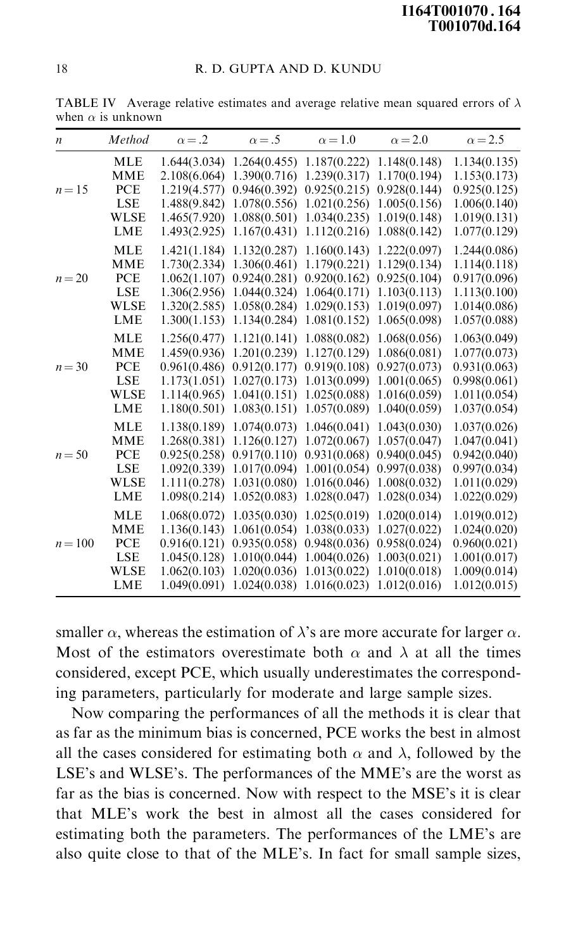|           | 00 11011 U 19 UIINII |               |                               |                |                |                |
|-----------|----------------------|---------------|-------------------------------|----------------|----------------|----------------|
| n         | Method               | $\alpha = .2$ | $\alpha = .5$                 | $\alpha = 1.0$ | $\alpha = 2.0$ | $\alpha$ = 2.5 |
|           | <b>MLE</b>           |               | $1.644(3.034)$ $1.264(0.455)$ | 1.187(0.222)   | 1.148(0.148)   | 1.134(0.135)   |
|           | <b>MME</b>           |               | 2.108(6.064) 1.390(0.716)     | 1.239(0.317)   | 1.170(0.194)   | 1.153(0.173)   |
| $n=15$    | <b>PCE</b>           | 1.219(4.577)  | 0.946(0.392)                  | 0.925(0.215)   | 0.928(0.144)   | 0.925(0.125)   |
|           | <b>LSE</b>           | 1.488(9.842)  | 1.078(0.556)                  | 1.021(0.256)   | 1.005(0.156)   | 1.006(0.140)   |
|           | <b>WLSE</b>          | 1.465(7.920)  | 1.088(0.501)                  | 1.034(0.235)   | 1.019(0.148)   | 1.019(0.131)   |
|           | LME                  | 1.493(2.925)  | 1.167(0.431)                  | 1.112(0.216)   | 1.088(0.142)   | 1.077(0.129)   |
|           | <b>MLE</b>           | 1.421(1.184)  | 1.132(0.287)                  | 1.160(0.143)   | 1.222(0.097)   | 1.244(0.086)   |
|           | <b>MME</b>           | 1.730(2.334)  | 1.306(0.461)                  | 1.179(0.221)   | 1.129(0.134)   | 1.114(0.118)   |
| $n = 20$  | <b>PCE</b>           | 1.062(1.107)  | 0.924(0.281)                  | 0.920(0.162)   | 0.925(0.104)   | 0.917(0.096)   |
|           | <b>LSE</b>           | 1.306(2.956)  | 1.044(0.324)                  | 1.064(0.171)   | 1.103(0.113)   | 1.113(0.100)   |
|           | <b>WLSE</b>          | 1.320(2.585)  | 1.058(0.284)                  | 1.029(0.153)   | 1.019(0.097)   | 1.014(0.086)   |
|           | <b>LME</b>           | 1.300(1.153)  | 1.134(0.284)                  | 1.081(0.152)   | 1.065(0.098)   | 1.057(0.088)   |
|           | <b>MLE</b>           | 1.256(0.477)  | 1.121(0.141)                  | 1.088(0.082)   | 1.068(0.056)   | 1.063(0.049)   |
|           | <b>MME</b>           | 1.459(0.936)  | 1.201(0.239)                  | 1.127(0.129)   | 1.086(0.081)   | 1.077(0.073)   |
| $n = 30$  | <b>PCE</b>           | 0.961(0.486)  | 0.912(0.177)                  | 0.919(0.108)   | 0.927(0.073)   | 0.931(0.063)   |
|           | <b>LSE</b>           | 1.173(1.051)  | 1.027(0.173)                  | 1.013(0.099)   | 1.001(0.065)   | 0.998(0.061)   |
|           | <b>WLSE</b>          | 1.114(0.965)  | 1.041(0.151)                  | 1.025(0.088)   | 1.016(0.059)   | 1.011(0.054)   |
|           | <b>LME</b>           | 1.180(0.501)  | 1.083(0.151)                  | 1.057(0.089)   | 1.040(0.059)   | 1.037(0.054)   |
|           | <b>MLE</b>           | 1.138(0.189)  | 1.074(0.073)                  | 1.046(0.041)   | 1.043(0.030)   | 1.037(0.026)   |
|           | <b>MME</b>           | 1.268(0.381)  | 1.126(0.127)                  | 1.072(0.067)   | 1.057(0.047)   | 1.047(0.041)   |
| $n = 50$  | PCE                  | 0.925(0.258)  | 0.917(0.110)                  | 0.931(0.068)   | 0.940(0.045)   | 0.942(0.040)   |
|           | <b>LSE</b>           | 1.092(0.339)  | 1.017(0.094)                  | 1.001(0.054)   | 0.997(0.038)   | 0.997(0.034)   |
|           | <b>WLSE</b>          | 1.111(0.278)  | 1.031(0.080)                  | 1.016(0.046)   | 1.008(0.032)   | 1.011(0.029)   |
|           | <b>LME</b>           | 1.098(0.214)  | 1.052(0.083)                  | 1.028(0.047)   | 1.028(0.034)   | 1.022(0.029)   |
|           | <b>MLE</b>           | 1.068(0.072)  | 1.035(0.030)                  | 1.025(0.019)   | 1.020(0.014)   | 1.019(0.012)   |
|           | <b>MME</b>           | 1.136(0.143)  | 1.061(0.054)                  | 1.038(0.033)   | 1.027(0.022)   | 1.024(0.020)   |
| $n = 100$ | PCE                  | 0.916(0.121)  | 0.935(0.058)                  | 0.948(0.036)   | 0.958(0.024)   | 0.960(0.021)   |
|           | <b>LSE</b>           | 1.045(0.128)  | 1.010(0.044)                  | 1.004(0.026)   | 1.003(0.021)   | 1.001(0.017)   |
|           | <b>WLSE</b>          | 1.062(0.103)  | 1.020(0.036)                  | 1.013(0.022)   | 1.010(0.018)   | 1.009(0.014)   |
|           | LME                  | 1.049(0.091)  | 1.024(0.038)                  | 1.016(0.023)   | 1.012(0.016)   | 1.012(0.015)   |

TABLE IV Average relative estimates and average relative mean squared errors of  $\lambda$ when  $\alpha$  is unknown

smaller  $\alpha$ , whereas the estimation of  $\lambda$ 's are more accurate for larger  $\alpha$ . Most of the estimators overestimate both  $\alpha$  and  $\lambda$  at all the times considered, except PCE, which usually underestimates the corresponding parameters, particularly for moderate and large sample sizes.

Now comparing the performances of all the methods it is clear that as far as the minimum bias is concerned, PCE works the best in almost all the cases considered for estimating both  $\alpha$  and  $\lambda$ , followed by the LSE's and WLSE's. The performances of the MME's are the worst as far as the bias is concerned. Now with respect to the MSE's it is clear that MLE's work the best in almost all the cases considered for estimating both the parameters. The performances of the LME's are also quite close to that of the MLE's. In fact for small sample sizes,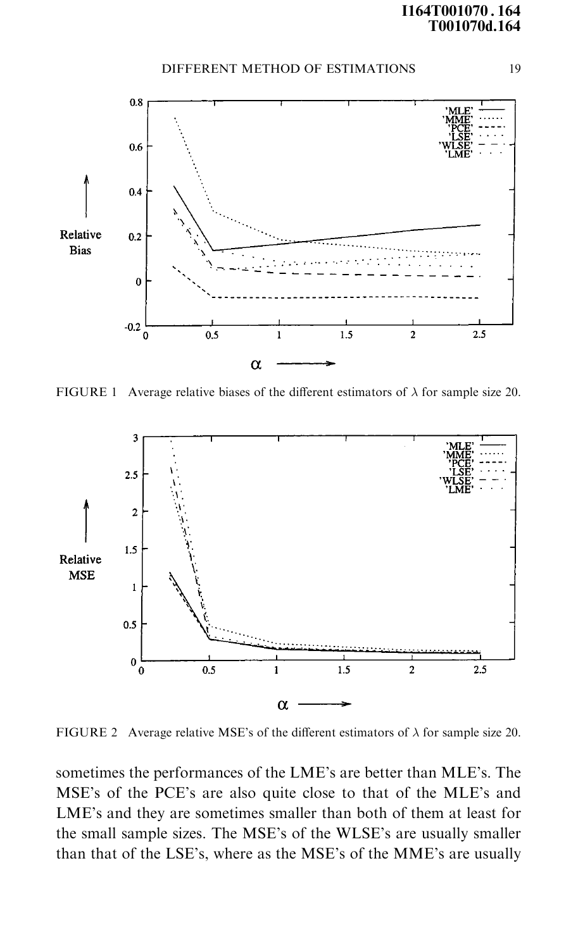## I164T001070 . 164 T001070d.164

#### DIFFERENT METHOD OF ESTIMATIONS 19



FIGURE 1 Average relative biases of the different estimators of  $\lambda$  for sample size 20.



FIGURE 2 Average relative MSE's of the different estimators of  $\lambda$  for sample size 20.

sometimes the performances of the LME's are better than MLE's. The MSE's of the PCE's are also quite close to that of the MLE's and LME's and they are sometimes smaller than both of them at least for the small sample sizes. The MSE's of the WLSE's are usually smaller than that of the LSE's, where as the MSE's of the MME's are usually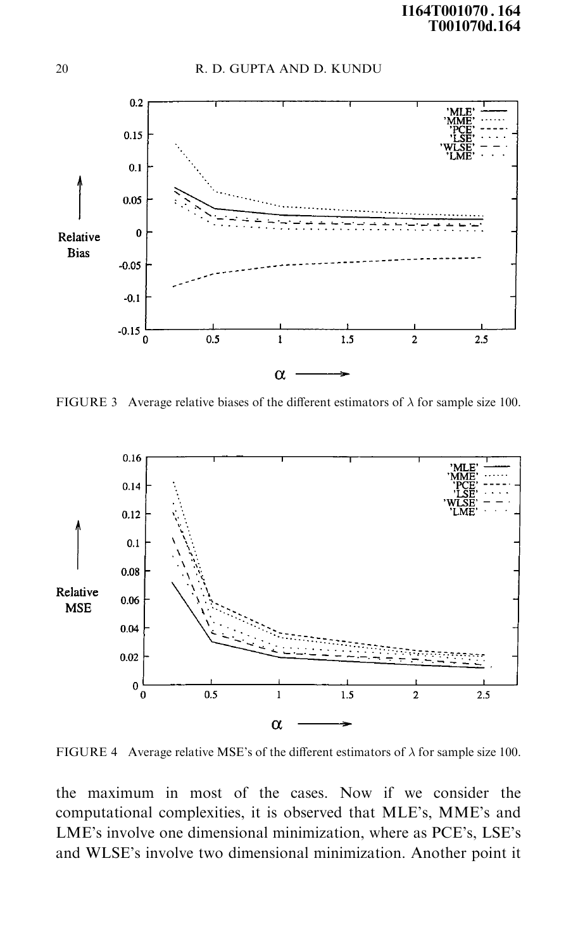

FIGURE 3 Average relative biases of the different estimators of  $\lambda$  for sample size 100.



FIGURE 4 Average relative MSE's of the different estimators of  $\lambda$  for sample size 100.

the maximum in most of the cases. Now if we consider the computational complexities, it is observed that MLE's, MME's and LME's involve one dimensional minimization, where as PCE's, LSE's and WLSE's involve two dimensional minimization. Another point it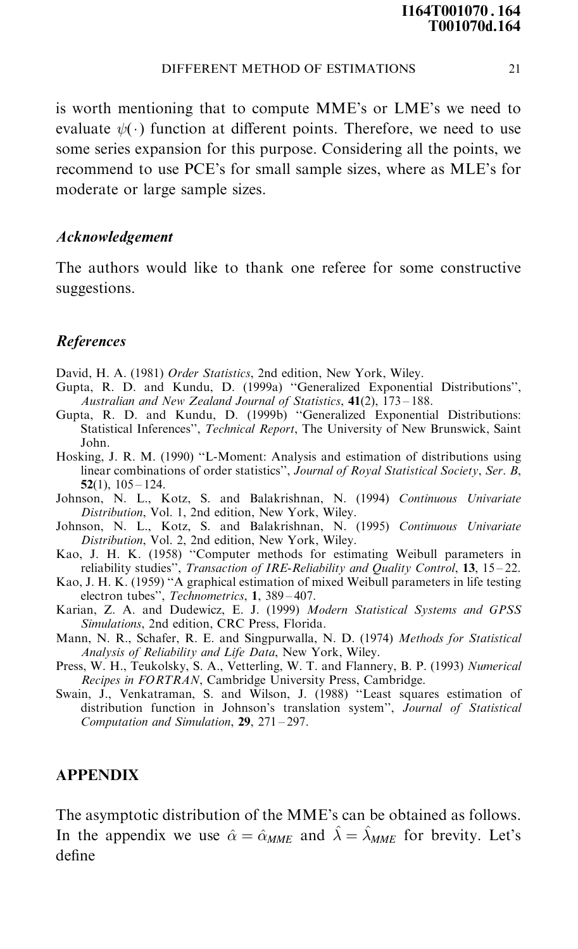is worth mentioning that to compute MME's or LME's we need to evaluate  $\psi(\cdot)$  function at different points. Therefore, we need to use some series expansion for this purpose. Considering all the points, we recommend to use PCE's for small sample sizes, where as MLE's for moderate or large sample sizes.

## Acknowledgement

The authors would like to thank one referee for some constructive suggestions.

## References

- David, H. A. (1981) Order Statistics, 2nd edition, New York, Wiley.
- Gupta, R. D. and Kundu, D. (1999a) "Generalized Exponential Distributions", Australian and New Zealand Journal of Statistics,  $41(2)$ ,  $173-188$ .
- Gupta, R. D. and Kundu, D. (1999b) "Generalized Exponential Distributions: Statistical Inferences", Technical Report, The University of New Brunswick, Saint John.
- Hosking, J. R. M. (1990) "L-Moment: Analysis and estimation of distributions using linear combinations of order statistics'', Journal of Royal Statistical Society, Ser. B,  $52(1)$ ,  $105 - 124$ .
- Johnson, N. L., Kotz, S. and Balakrishnan, N. (1994) Continuous Univariate Distribution, Vol. 1, 2nd edition, New York, Wiley.
- Johnson, N. L., Kotz, S. and Balakrishnan, N. (1995) Continuous Univariate Distribution, Vol. 2, 2nd edition, New York, Wiley.
- Kao, J. H. K. (1958) "Computer methods for estimating Weibull parameters in reliability studies", Transaction of IRE-Reliability and Quality Control,  $13$ ,  $15-22$ .
- Kao, J. H. K. (1959) "A graphical estimation of mixed Weibull parameters in life testing electron tubes", Technometrics, 1, 389-407.
- Karian, Z. A. and Dudewicz, E. J. (1999) Modern Statistical Systems and GPSS Simulations, 2nd edition, CRC Press, Florida.
- Mann, N. R., Schafer, R. E. and Singpurwalla, N. D. (1974) Methods for Statistical Analysis of Reliability and Life Data, New York, Wiley.
- Press, W. H., Teukolsky, S. A., Vetterling, W. T. and Flannery, B. P. (1993) Numerical Recipes in FORTRAN, Cambridge University Press, Cambridge.
- Swain, J., Venkatraman, S. and Wilson, J. (1988) "Least squares estimation of distribution function in Johnson's translation system'', Journal of Statistical Computation and Simulation,  $29$ ,  $271 - 297$ .

## APPENDIX

The asymptotic distribution of the MME's can be obtained as follows. In the appendix we use  $\hat{\alpha} = \hat{\alpha}_{MME}$  and  $\hat{\lambda} = \hat{\lambda}_{MME}$  for brevity. Let's define